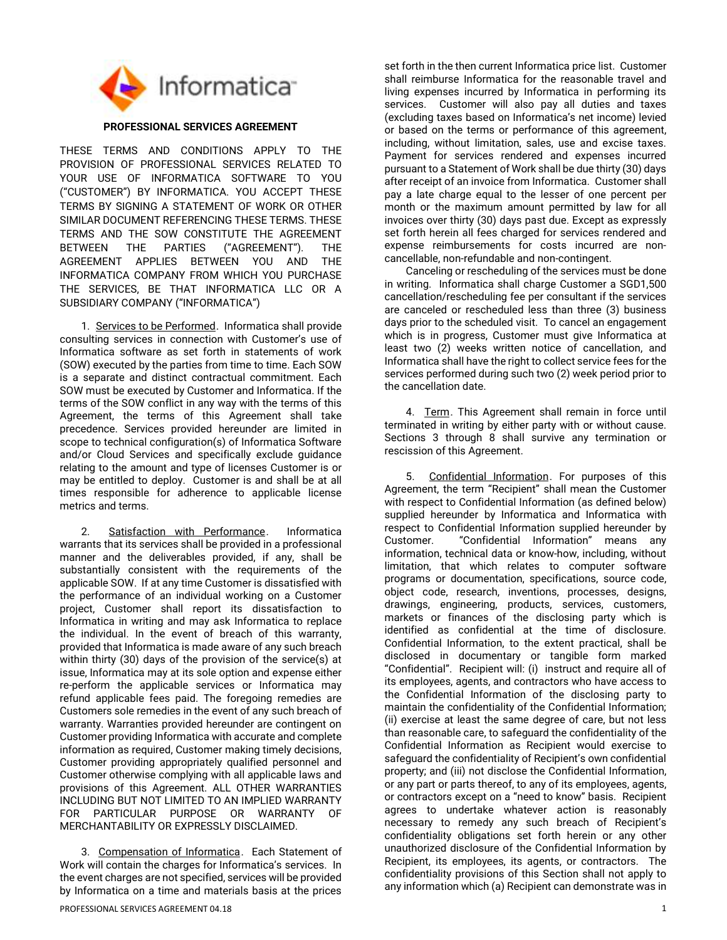

## PROFESSIONAL SERVICES AGREEMENT

THESE TERMS AND CONDITIONS APPLY TO THE PROVISION OF PROFESSIONAL SERVICES RELATED TO YOUR USE OF INFORMATICA SOFTWARE TO YOU ("CUSTOMER") BY INFORMATICA. YOU ACCEPT THESE TERMS BY SIGNING A STATEMENT OF WORK OR OTHER SIMILAR DOCUMENT REFERENCING THESE TERMS. THESE TERMS AND THE SOW CONSTITUTE THE AGREEMENT BETWEEN THE PARTIES ("AGREEMENT"). THE AGREEMENT APPLIES BETWEEN YOU AND THE INFORMATICA COMPANY FROM WHICH YOU PURCHASE THE SERVICES, BE THAT INFORMATICA LLC OR A SUBSIDIARY COMPANY ("INFORMATICA")

1. Services to be Performed. Informatica shall provide consulting services in connection with Customer's use of Informatica software as set forth in statements of work (SOW) executed by the parties from time to time. Each SOW is a separate and distinct contractual commitment. Each SOW must be executed by Customer and Informatica. If the terms of the SOW conflict in any way with the terms of this Agreement, the terms of this Agreement shall take precedence. Services provided hereunder are limited in scope to technical configuration(s) of Informatica Software and/or Cloud Services and specifically exclude guidance relating to the amount and type of licenses Customer is or may be entitled to deploy. Customer is and shall be at all times responsible for adherence to applicable license metrics and terms.

2. Satisfaction with Performance. Informatica warrants that its services shall be provided in a professional manner and the deliverables provided, if any, shall be substantially consistent with the requirements of the applicable SOW. If at any time Customer is dissatisfied with the performance of an individual working on a Customer project, Customer shall report its dissatisfaction to Informatica in writing and may ask Informatica to replace the individual. In the event of breach of this warranty, provided that Informatica is made aware of any such breach within thirty (30) days of the provision of the service(s) at issue, Informatica may at its sole option and expense either re-perform the applicable services or Informatica may refund applicable fees paid. The foregoing remedies are Customers sole remedies in the event of any such breach of warranty. Warranties provided hereunder are contingent on Customer providing Informatica with accurate and complete information as required, Customer making timely decisions, Customer providing appropriately qualified personnel and Customer otherwise complying with all applicable laws and provisions of this Agreement. ALL OTHER WARRANTIES INCLUDING BUT NOT LIMITED TO AN IMPLIED WARRANTY FOR PARTICULAR PURPOSE OR WARRANTY OF MERCHANTABILITY OR EXPRESSLY DISCLAIMED.

3. Compensation of Informatica. Each Statement of Work will contain the charges for Informatica's services. In the event charges are not specified, services will be provided by Informatica on a time and materials basis at the prices

set forth in the then current Informatica price list. Customer shall reimburse Informatica for the reasonable travel and living expenses incurred by Informatica in performing its services. Customer will also pay all duties and taxes (excluding taxes based on Informatica's net income) levied or based on the terms or performance of this agreement, including, without limitation, sales, use and excise taxes. Payment for services rendered and expenses incurred pursuant to a Statement of Work shall be due thirty (30) days after receipt of an invoice from Informatica. Customer shall pay a late charge equal to the lesser of one percent per month or the maximum amount permitted by law for all invoices over thirty (30) days past due. Except as expressly set forth herein all fees charged for services rendered and expense reimbursements for costs incurred are noncancellable, non-refundable and non-contingent.

Canceling or rescheduling of the services must be done in writing. Informatica shall charge Customer a SGD1,500 cancellation/rescheduling fee per consultant if the services are canceled or rescheduled less than three (3) business days prior to the scheduled visit. To cancel an engagement which is in progress. Customer must give Informatica at least two (2) weeks written notice of cancellation, and Informatica shall have the right to collect service fees for the services performed during such two (2) week period prior to the cancellation date.

4. Term. This Agreement shall remain in force until terminated in writing by either party with or without cause. Sections 3 through 8 shall survive any termination or rescission of this Agreement.

5. Confidential Information. For purposes of this Agreement, the term "Recipient" shall mean the Customer with respect to Confidential Information (as defined below) supplied hereunder by Informatica and Informatica with respect to Confidential Information supplied hereunder by Customer. "Confidential Information" means any information, technical data or know-how, including, without limitation, that which relates to computer software programs or documentation, specifications, source code, object code, research, inventions, processes, designs, drawings, engineering, products, services, customers, markets or finances of the disclosing party which is identified as confidential at the time of disclosure. Confidential Information, to the extent practical, shall be disclosed in documentary or tangible form marked "Confidential". Recipient will: (i) instruct and require all of its employees, agents, and contractors who have access to the Confidential Information of the disclosing party to maintain the confidentiality of the Confidential Information; (ii) exercise at least the same degree of care, but not less than reasonable care, to safeguard the confidentiality of the Confidential Information as Recipient would exercise to safeguard the confidentiality of Recipient's own confidential property; and (iii) not disclose the Confidential Information, or any part or parts thereof, to any of its employees, agents, or contractors except on a "need to know" basis. Recipient agrees to undertake whatever action is reasonably necessary to remedy any such breach of Recipient's confidentiality obligations set forth herein or any other unauthorized disclosure of the Confidential Information by Recipient, its employees, its agents, or contractors. The confidentiality provisions of this Section shall not apply to any information which (a) Recipient can demonstrate was in